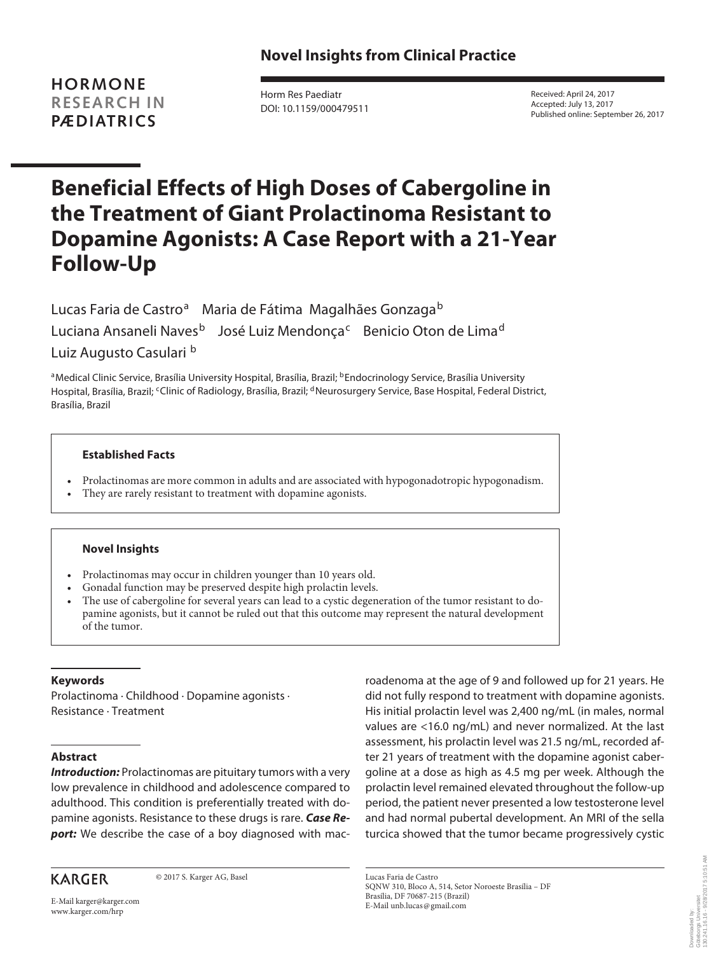**HORMONE RESEARCH IN PÆDIATRICS**

Horm Res Paediatr DOI: 10.1159/000479511 Received: April 24, 2017 Accepted: July 13, 2017 Published online: September 26, 2017

# **Beneficial Effects of High Doses of Cabergoline in the Treatment of Giant Prolactinoma Resistant to Dopamine Agonists: A Case Report with a 21-Year Follow-Up**

Lucas Faria de Castro<sup>a</sup> Maria de Fátima Magalhães Gonzaga<sup>b</sup> Luciana Ansaneli Naves<sup>b</sup> José Luiz Mendonça<sup>c</sup> Benicio Oton de Lima<sup>d</sup> Luiz Augusto Casulari b

aMedical Clinic Service, Brasília University Hospital, Brasília, Brazil; bEndocrinology Service, Brasília University Hospital, Brasília, Brazil; <sup>c</sup>Clinic of Radiology, Brasília, Brazil; <sup>d</sup>Neurosurgery Service, Base Hospital, Federal District, Brasília, Brazil

## **Established Facts**

- Prolactinomas are more common in adults and are associated with hypogonadotropic hypogonadism.
- They are rarely resistant to treatment with dopamine agonists.

## **Novel Insights**

- Prolactinomas may occur in children younger than 10 years old.
- Gonadal function may be preserved despite high prolactin levels.
- The use of cabergoline for several years can lead to a cystic degeneration of the tumor resistant to dopamine agonists, but it cannot be ruled out that this outcome may represent the natural development of the tumor.

# **Keywords**

Prolactinoma · Childhood · Dopamine agonists · Resistance · Treatment

# **Abstract**

*Introduction:* Prolactinomas are pituitary tumors with a very low prevalence in childhood and adolescence compared to adulthood. This condition is preferentially treated with dopamine agonists. Resistance to these drugs is rare. *Case Re***port:** We describe the case of a boy diagnosed with mac-

**KARGER** 

© 2017 S. Karger AG, Basel

roadenoma at the age of 9 and followed up for 21 years. He did not fully respond to treatment with dopamine agonists. His initial prolactin level was 2,400 ng/mL (in males, normal values are <16.0 ng/mL) and never normalized. At the last assessment, his prolactin level was 21.5 ng/mL, recorded after 21 years of treatment with the dopamine agonist cabergoline at a dose as high as 4.5 mg per week. Although the prolactin level remained elevated throughout the follow-up period, the patient never presented a low testosterone level and had normal pubertal development. An MRI of the sella turcica showed that the tumor became progressively cystic

Lucas Faria de Castro SQNW 310, Bloco A, 514, Setor Noroeste Brasília – DF Brasília, DF 70687-215 (Brazil) E-Mail unb.lucas@gmail.com

E-Mail karger@karger.com www.karger.com/hrp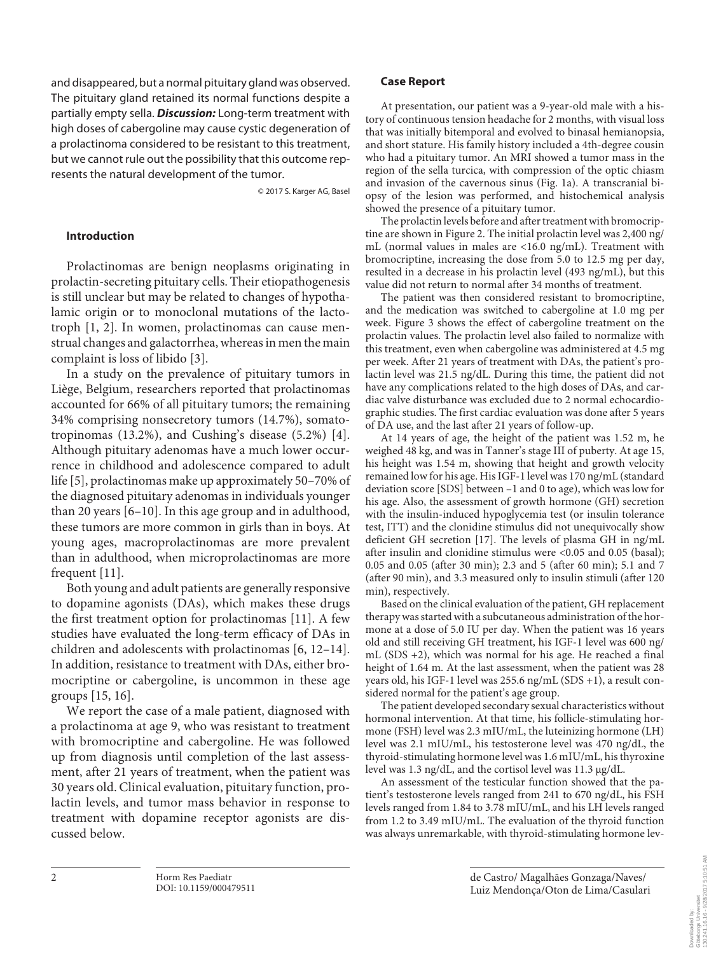and disappeared, but a normal pituitary gland was observed. The pituitary gland retained its normal functions despite a partially empty sella. *Discussion:* Long-term treatment with high doses of cabergoline may cause cystic degeneration of a prolactinoma considered to be resistant to this treatment, but we cannot rule out the possibility that this outcome represents the natural development of the tumor.

© 2017 S. Karger AG, Basel

### **Introduction**

Prolactinomas are benign neoplasms originating in prolactin-secreting pituitary cells. Their etiopathogenesis is still unclear but may be related to changes of hypothalamic origin or to monoclonal mutations of the lactotroph [1, 2]. In women, prolactinomas can cause menstrual changes and galactorrhea, whereas in men the main complaint is loss of libido [3].

In a study on the prevalence of pituitary tumors in Liège, Belgium, researchers reported that prolactinomas accounted for 66% of all pituitary tumors; the remaining 34% comprising nonsecretory tumors (14.7%), somatotropinomas (13.2%), and Cushing's disease (5.2%) [4]. Although pituitary adenomas have a much lower occurrence in childhood and adolescence compared to adult life [5], prolactinomas make up approximately 50–70% of the diagnosed pituitary adenomas in individuals younger than 20 years [6–10]. In this age group and in adulthood, these tumors are more common in girls than in boys. At young ages, macroprolactinomas are more prevalent than in adulthood, when microprolactinomas are more frequent [11].

Both young and adult patients are generally responsive to dopamine agonists (DAs), which makes these drugs the first treatment option for prolactinomas [11]. A few studies have evaluated the long-term efficacy of DAs in children and adolescents with prolactinomas [6, 12–14]. In addition, resistance to treatment with DAs, either bromocriptine or cabergoline, is uncommon in these age groups [15, 16].

We report the case of a male patient, diagnosed with a prolactinoma at age 9, who was resistant to treatment with bromocriptine and cabergoline. He was followed up from diagnosis until completion of the last assessment, after 21 years of treatment, when the patient was 30 years old. Clinical evaluation, pituitary function, prolactin levels, and tumor mass behavior in response to treatment with dopamine receptor agonists are discussed below.

### **Case Report**

At presentation, our patient was a 9-year-old male with a history of continuous tension headache for 2 months, with visual loss that was initially bitemporal and evolved to binasal hemianopsia, and short stature. His family history included a 4th-degree cousin who had a pituitary tumor. An MRI showed a tumor mass in the region of the sella turcica, with compression of the optic chiasm and invasion of the cavernous sinus (Fig. 1a). A transcranial biopsy of the lesion was performed, and histochemical analysis showed the presence of a pituitary tumor.

The prolactin levels before and after treatment with bromocriptine are shown in Figure 2. The initial prolactin level was 2,400 ng/ mL (normal values in males are <16.0 ng/mL). Treatment with bromocriptine, increasing the dose from 5.0 to 12.5 mg per day, resulted in a decrease in his prolactin level (493 ng/mL), but this value did not return to normal after 34 months of treatment.

The patient was then considered resistant to bromocriptine, and the medication was switched to cabergoline at 1.0 mg per week. Figure 3 shows the effect of cabergoline treatment on the prolactin values. The prolactin level also failed to normalize with this treatment, even when cabergoline was administered at 4.5 mg per week. After 21 years of treatment with DAs, the patient's prolactin level was 21.5 ng/dL. During this time, the patient did not have any complications related to the high doses of DAs, and cardiac valve disturbance was excluded due to 2 normal echocardiographic studies. The first cardiac evaluation was done after 5 years of DA use, and the last after 21 years of follow-up.

At 14 years of age, the height of the patient was 1.52 m, he weighed 48 kg, and was in Tanner's stage III of puberty. At age 15, his height was 1.54 m, showing that height and growth velocity remained low for his age. His IGF-1 level was 170 ng/mL (standard deviation score [SDS] between –1 and 0 to age), which was low for his age. Also, the assessment of growth hormone (GH) secretion with the insulin-induced hypoglycemia test (or insulin tolerance test, ITT) and the clonidine stimulus did not unequivocally show deficient GH secretion [17]. The levels of plasma GH in ng/mL after insulin and clonidine stimulus were <0.05 and 0.05 (basal); 0.05 and 0.05 (after 30 min); 2.3 and 5 (after 60 min); 5.1 and 7 (after 90 min), and 3.3 measured only to insulin stimuli (after 120 min), respectively.

Based on the clinical evaluation of the patient, GH replacement therapy was started with a subcutaneous administration of the hormone at a dose of 5.0 IU per day. When the patient was 16 years old and still receiving GH treatment, his IGF-1 level was 600 ng/ mL (SDS +2), which was normal for his age. He reached a final height of 1.64 m. At the last assessment, when the patient was 28 years old, his IGF-1 level was 255.6 ng/mL (SDS +1), a result considered normal for the patient's age group.

The patient developed secondary sexual characteristics without hormonal intervention. At that time, his follicle-stimulating hormone (FSH) level was 2.3 mIU/mL, the luteinizing hormone (LH) level was 2.1 mIU/mL, his testosterone level was 470 ng/dL, the thyroid-stimulating hormone level was 1.6 mIU/mL, his thyroxine level was 1.3 ng/dL, and the cortisol level was 11.3 μg/dL.

An assessment of the testicular function showed that the patient's testosterone levels ranged from 241 to 670 ng/dL, his FSH levels ranged from 1.84 to 3.78 mIU/mL, and his LH levels ranged from 1.2 to 3.49 mIU/mL. The evaluation of the thyroid function was always unremarkable, with thyroid-stimulating hormone lev-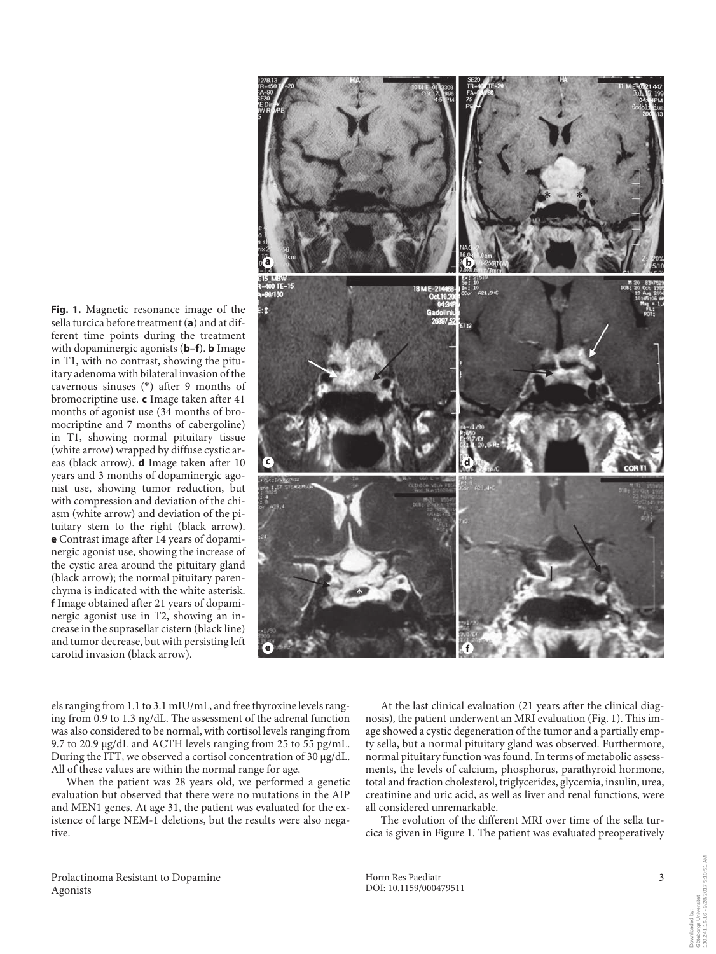**Fig. 1.** Magnetic resonance image of the sella turcica before treatment (**a**) and at different time points during the treatment with dopaminergic agonists (**b–f**). **b** Image in T1, with no contrast, showing the pituitary adenoma with bilateral invasion of the cavernous sinuses (\*) after 9 months of bromocriptine use. **c** Image taken after 41 months of agonist use (34 months of bromocriptine and 7 months of cabergoline) in T1, showing normal pituitary tissue (white arrow) wrapped by diffuse cystic areas (black arrow). **d** Image taken after 10 years and 3 months of dopaminergic agonist use, showing tumor reduction, but with compression and deviation of the chiasm (white arrow) and deviation of the pituitary stem to the right (black arrow). **e** Contrast image after 14 years of dopaminergic agonist use, showing the increase of the cystic area around the pituitary gland (black arrow); the normal pituitary parenchyma is indicated with the white asterisk. **f** Image obtained after 21 years of dopaminergic agonist use in T2, showing an increase in the suprasellar cistern (black line) and tumor decrease, but with persisting left carotid invasion (black arrow).



els ranging from 1.1 to 3.1 mIU/mL, and free thyroxine levels ranging from 0.9 to 1.3 ng/dL. The assessment of the adrenal function was also considered to be normal, with cortisol levels ranging from 9.7 to 20.9 μg/dL and ACTH levels ranging from 25 to 55 pg/mL. During the ITT, we observed a cortisol concentration of 30 μg/dL. All of these values are within the normal range for age.

When the patient was 28 years old, we performed a genetic evaluation but observed that there were no mutations in the AIP and MEN1 genes. At age 31, the patient was evaluated for the existence of large NEM-1 deletions, but the results were also negative.

At the last clinical evaluation (21 years after the clinical diagnosis), the patient underwent an MRI evaluation (Fig. 1). This image showed a cystic degeneration of the tumor and a partially empty sella, but a normal pituitary gland was observed. Furthermore, normal pituitary function was found. In terms of metabolic assessments, the levels of calcium, phosphorus, parathyroid hormone, total and fraction cholesterol, triglycerides, glycemia, insulin, urea, creatinine and uric acid, as well as liver and renal functions, were all considered unremarkable.

The evolution of the different MRI over time of the sella turcica is given in Figure 1. The patient was evaluated preoperatively

130.241.16.16 - 9/28/2017 5:10:51 AM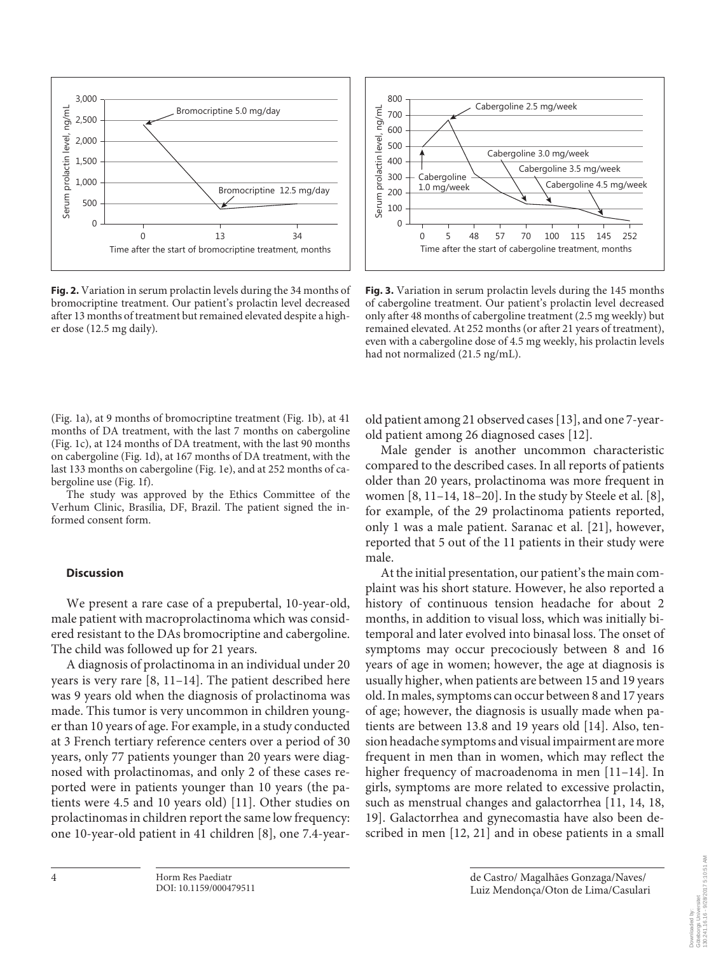

**Fig. 2.** Variation in serum prolactin levels during the 34 months of bromocriptine treatment. Our patient's prolactin level decreased after 13 months of treatment but remained elevated despite a higher dose (12.5 mg daily).



**Fig. 3.** Variation in serum prolactin levels during the 145 months of cabergoline treatment. Our patient's prolactin level decreased only after 48 months of cabergoline treatment (2.5 mg weekly) but remained elevated. At 252 months (or after 21 years of treatment), even with a cabergoline dose of 4.5 mg weekly, his prolactin levels had not normalized (21.5 ng/mL).

(Fig. 1a), at 9 months of bromocriptine treatment (Fig. 1b), at 41 months of DA treatment, with the last 7 months on cabergoline (Fig. 1c), at 124 months of DA treatment, with the last 90 months on cabergoline (Fig. 1d), at 167 months of DA treatment, with the last 133 months on cabergoline (Fig. 1e), and at 252 months of cabergoline use (Fig. 1f).

The study was approved by the Ethics Committee of the Verhum Clinic, Brasília, DF, Brazil. The patient signed the informed consent form.

### **Discussion**

We present a rare case of a prepubertal, 10-year-old, male patient with macroprolactinoma which was considered resistant to the DAs bromocriptine and cabergoline. The child was followed up for 21 years.

A diagnosis of prolactinoma in an individual under 20 years is very rare [8, 11–14]. The patient described here was 9 years old when the diagnosis of prolactinoma was made. This tumor is very uncommon in children younger than 10 years of age. For example, in a study conducted at 3 French tertiary reference centers over a period of 30 years, only 77 patients younger than 20 years were diagnosed with prolactinomas, and only 2 of these cases reported were in patients younger than 10 years (the patients were 4.5 and 10 years old) [11]. Other studies on prolactinomas in children report the same low frequency: one 10-year-old patient in 41 children [8], one 7.4-yearold patient among 21 observed cases [13], and one 7-yearold patient among 26 diagnosed cases [12].

Male gender is another uncommon characteristic compared to the described cases. In all reports of patients older than 20 years, prolactinoma was more frequent in women [8, 11–14, 18–20]. In the study by Steele et al. [8], for example, of the 29 prolactinoma patients reported, only 1 was a male patient. Saranac et al. [21], however, reported that 5 out of the 11 patients in their study were male.

At the initial presentation, our patient's the main complaint was his short stature. However, he also reported a history of continuous tension headache for about 2 months, in addition to visual loss, which was initially bitemporal and later evolved into binasal loss. The onset of symptoms may occur precociously between 8 and 16 years of age in women; however, the age at diagnosis is usually higher, when patients are between 15 and 19 years old. In males, symptoms can occur between 8 and 17 years of age; however, the diagnosis is usually made when patients are between 13.8 and 19 years old [14]. Also, tension headache symptoms and visual impairment are more frequent in men than in women, which may reflect the higher frequency of macroadenoma in men [11–14]. In girls, symptoms are more related to excessive prolactin, such as menstrual changes and galactorrhea [11, 14, 18, 19]. Galactorrhea and gynecomastia have also been described in men [12, 21] and in obese patients in a small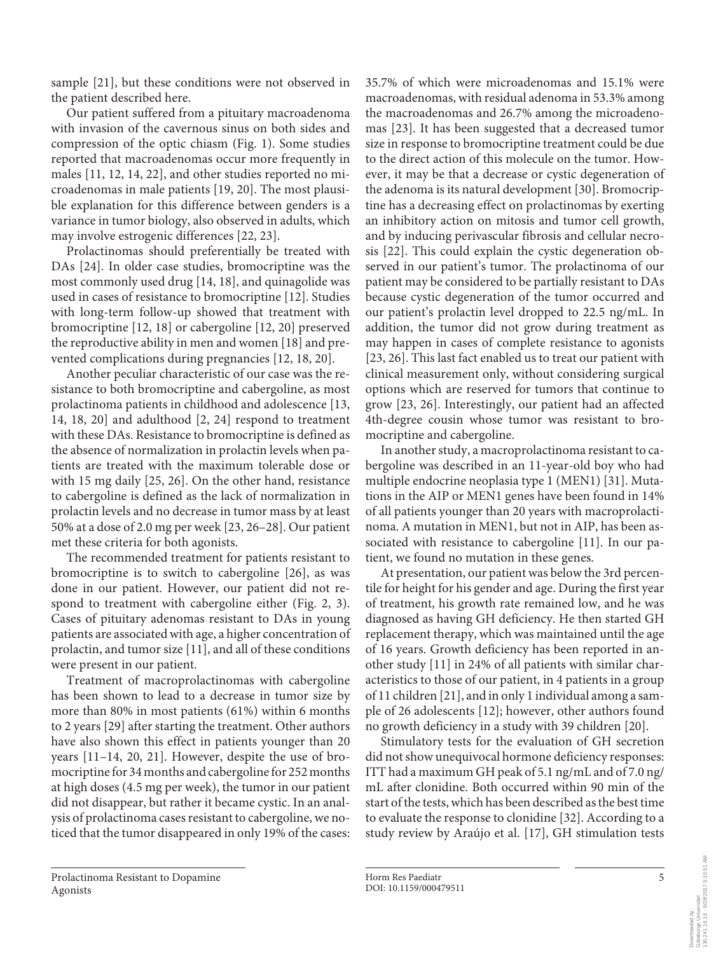sample [21], but these conditions were not observed in the patient described here.

Our patient suffered from a pituitary macroadenoma with invasion of the cavernous sinus on both sides and compression of the optic chiasm (Fig. 1). Some studies reported that macroadenomas occur more frequently in males [11, 12, 14, 22], and other studies reported no microadenomas in male patients [19, 20]. The most plausible explanation for this difference between genders is a variance in tumor biology, also observed in adults, which may involve estrogenic differences [22, 23].

Prolactinomas should preferentially be treated with DAs [24]. In older case studies, bromocriptine was the most commonly used drug [14, 18], and quinagolide was used in cases of resistance to bromocriptine [12]. Studies with long-term follow-up showed that treatment with bromocriptine [12, 18] or cabergoline [12, 20] preserved the reproductive ability in men and women [18] and prevented complications during pregnancies [12, 18, 20].

Another peculiar characteristic of our case was the resistance to both bromocriptine and cabergoline, as most prolactinoma patients in childhood and adolescence [13, 14, 18, 20] and adulthood [2, 24] respond to treatment with these DAs. Resistance to bromocriptine is defined as the absence of normalization in prolactin levels when patients are treated with the maximum tolerable dose or with 15 mg daily [25, 26]. On the other hand, resistance to cabergoline is defined as the lack of normalization in prolactin levels and no decrease in tumor mass by at least 50% at a dose of 2.0 mg per week [23, 26–28]. Our patient met these criteria for both agonists.

The recommended treatment for patients resistant to bromocriptine is to switch to cabergoline [26], as was done in our patient. However, our patient did not respond to treatment with cabergoline either (Fig. 2, 3). Cases of pituitary adenomas resistant to DAs in young patients are associated with age, a higher concentration of prolactin, and tumor size [11], and all of these conditions were present in our patient.

Treatment of macroprolactinomas with cabergoline has been shown to lead to a decrease in tumor size by more than 80% in most patients (61%) within 6 months to 2 years [29] after starting the treatment. Other authors have also shown this effect in patients younger than 20 years [11–14, 20, 21]. However, despite the use of bromocriptine for 34 months and cabergoline for 252 months at high doses (4.5 mg per week), the tumor in our patient did not disappear, but rather it became cystic. In an analysis of prolactinoma cases resistant to cabergoline, we noticed that the tumor disappeared in only 19% of the cases:

35.7% of which were microadenomas and 15.1% were macroadenomas, with residual adenoma in 53.3% among the macroadenomas and 26.7% among the microadenomas [23]. It has been suggested that a decreased tumor size in response to bromocriptine treatment could be due to the direct action of this molecule on the tumor. However, it may be that a decrease or cystic degeneration of the adenoma is its natural development [30]. Bromocriptine has a decreasing effect on prolactinomas by exerting an inhibitory action on mitosis and tumor cell growth, and by inducing perivascular fibrosis and cellular necrosis [22]. This could explain the cystic degeneration observed in our patient's tumor. The prolactinoma of our patient may be considered to be partially resistant to DAs because cystic degeneration of the tumor occurred and our patient's prolactin level dropped to 22.5 ng/mL. In addition, the tumor did not grow during treatment as may happen in cases of complete resistance to agonists [23, 26]. This last fact enabled us to treat our patient with clinical measurement only, without considering surgical options which are reserved for tumors that continue to grow [23, 26]. Interestingly, our patient had an affected 4th-degree cousin whose tumor was resistant to bromocriptine and cabergoline.

In another study, a macroprolactinoma resistant to cabergoline was described in an 11-year-old boy who had multiple endocrine neoplasia type 1 (MEN1) [31]. Mutations in the AIP or MEN1 genes have been found in 14% of all patients younger than 20 years with macroprolactinoma. A mutation in MEN1, but not in AIP, has been associated with resistance to cabergoline [11]. In our patient, we found no mutation in these genes.

At presentation, our patient was below the 3rd percentile for height for his gender and age. During the first year of treatment, his growth rate remained low, and he was diagnosed as having GH deficiency. He then started GH replacement therapy, which was maintained until the age of 16 years. Growth deficiency has been reported in another study [11] in 24% of all patients with similar characteristics to those of our patient, in 4 patients in a group of 11 children [21], and in only 1 individual among a sample of 26 adolescents [12]; however, other authors found no growth deficiency in a study with 39 children [20].

Stimulatory tests for the evaluation of GH secretion did not show unequivocal hormone deficiency responses: ITT had a maximum GH peak of 5.1 ng/mL and of 7.0 ng/ mL after clonidine. Both occurred within 90 min of the start of the tests, which has been described as the best time to evaluate the response to clonidine [32]. According to a study review by Araújo et al. [17], GH stimulation tests

130.241.16.16 - 9/28/2017 5:10:51 AM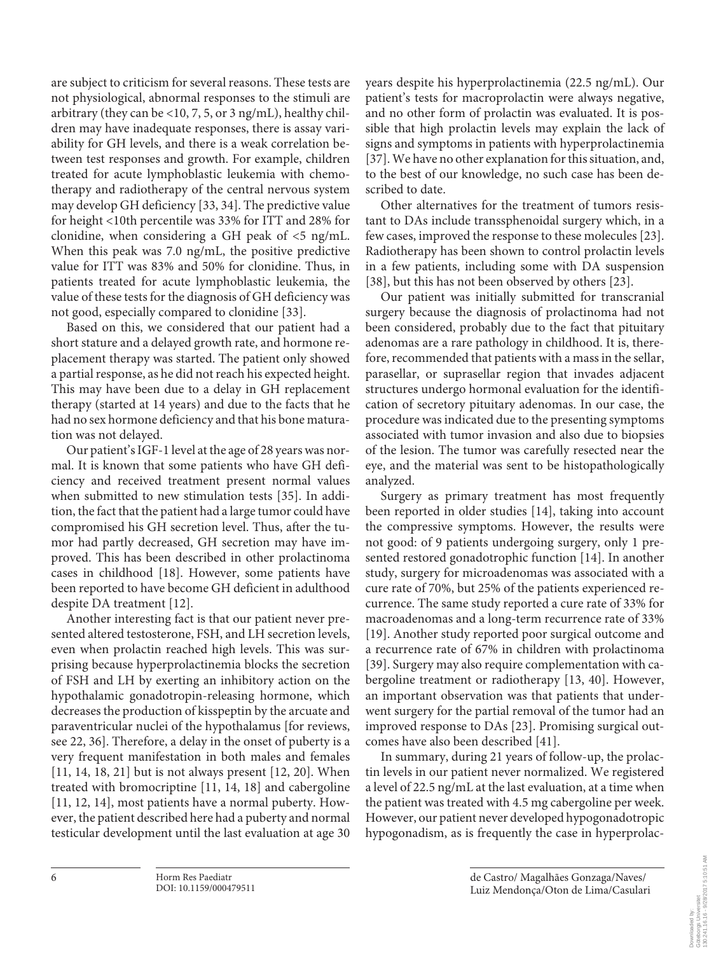are subject to criticism for several reasons. These tests are not physiological, abnormal responses to the stimuli are arbitrary (they can be <10, 7, 5, or 3 ng/mL), healthy children may have inadequate responses, there is assay variability for GH levels, and there is a weak correlation between test responses and growth. For example, children treated for acute lymphoblastic leukemia with chemotherapy and radiotherapy of the central nervous system may develop GH deficiency [33, 34]. The predictive value for height <10th percentile was 33% for ITT and 28% for clonidine, when considering a GH peak of <5 ng/mL. When this peak was 7.0 ng/mL, the positive predictive value for ITT was 83% and 50% for clonidine. Thus, in patients treated for acute lymphoblastic leukemia, the value of these tests for the diagnosis of GH deficiency was not good, especially compared to clonidine [33].

Based on this, we considered that our patient had a short stature and a delayed growth rate, and hormone replacement therapy was started. The patient only showed a partial response, as he did not reach his expected height. This may have been due to a delay in GH replacement therapy (started at 14 years) and due to the facts that he had no sex hormone deficiency and that his bone maturation was not delayed.

Our patient's IGF-1 level at the age of 28 years was normal. It is known that some patients who have GH deficiency and received treatment present normal values when submitted to new stimulation tests [35]. In addition, the fact that the patient had a large tumor could have compromised his GH secretion level. Thus, after the tumor had partly decreased, GH secretion may have improved. This has been described in other prolactinoma cases in childhood [18]. However, some patients have been reported to have become GH deficient in adulthood despite DA treatment [12].

Another interesting fact is that our patient never presented altered testosterone, FSH, and LH secretion levels, even when prolactin reached high levels. This was surprising because hyperprolactinemia blocks the secretion of FSH and LH by exerting an inhibitory action on the hypothalamic gonadotropin-releasing hormone, which decreases the production of kisspeptin by the arcuate and paraventricular nuclei of the hypothalamus [for reviews, see 22, 36]. Therefore, a delay in the onset of puberty is a very frequent manifestation in both males and females [11, 14, 18, 21] but is not always present [12, 20]. When treated with bromocriptine [11, 14, 18] and cabergoline [11, 12, 14], most patients have a normal puberty. However, the patient described here had a puberty and normal testicular development until the last evaluation at age 30

years despite his hyperprolactinemia (22.5 ng/mL). Our patient's tests for macroprolactin were always negative, and no other form of prolactin was evaluated. It is possible that high prolactin levels may explain the lack of signs and symptoms in patients with hyperprolactinemia [37]. We have no other explanation for this situation, and, to the best of our knowledge, no such case has been described to date.

Other alternatives for the treatment of tumors resistant to DAs include transsphenoidal surgery which, in a few cases, improved the response to these molecules [23]. Radiotherapy has been shown to control prolactin levels in a few patients, including some with DA suspension [38], but this has not been observed by others [23].

Our patient was initially submitted for transcranial surgery because the diagnosis of prolactinoma had not been considered, probably due to the fact that pituitary adenomas are a rare pathology in childhood. It is, therefore, recommended that patients with a mass in the sellar, parasellar, or suprasellar region that invades adjacent structures undergo hormonal evaluation for the identification of secretory pituitary adenomas. In our case, the procedure was indicated due to the presenting symptoms associated with tumor invasion and also due to biopsies of the lesion. The tumor was carefully resected near the eye, and the material was sent to be histopathologically analyzed.

Surgery as primary treatment has most frequently been reported in older studies [14], taking into account the compressive symptoms. However, the results were not good: of 9 patients undergoing surgery, only 1 presented restored gonadotrophic function [14]. In another study, surgery for microadenomas was associated with a cure rate of 70%, but 25% of the patients experienced recurrence. The same study reported a cure rate of 33% for macroadenomas and a long-term recurrence rate of 33% [19]. Another study reported poor surgical outcome and a recurrence rate of 67% in children with prolactinoma [39]. Surgery may also require complementation with cabergoline treatment or radiotherapy [13, 40]. However, an important observation was that patients that underwent surgery for the partial removal of the tumor had an improved response to DAs [23]. Promising surgical outcomes have also been described [41].

In summary, during 21 years of follow-up, the prolactin levels in our patient never normalized. We registered a level of 22.5 ng/mL at the last evaluation, at a time when the patient was treated with 4.5 mg cabergoline per week. However, our patient never developed hypogonadotropic hypogonadism, as is frequently the case in hyperprolac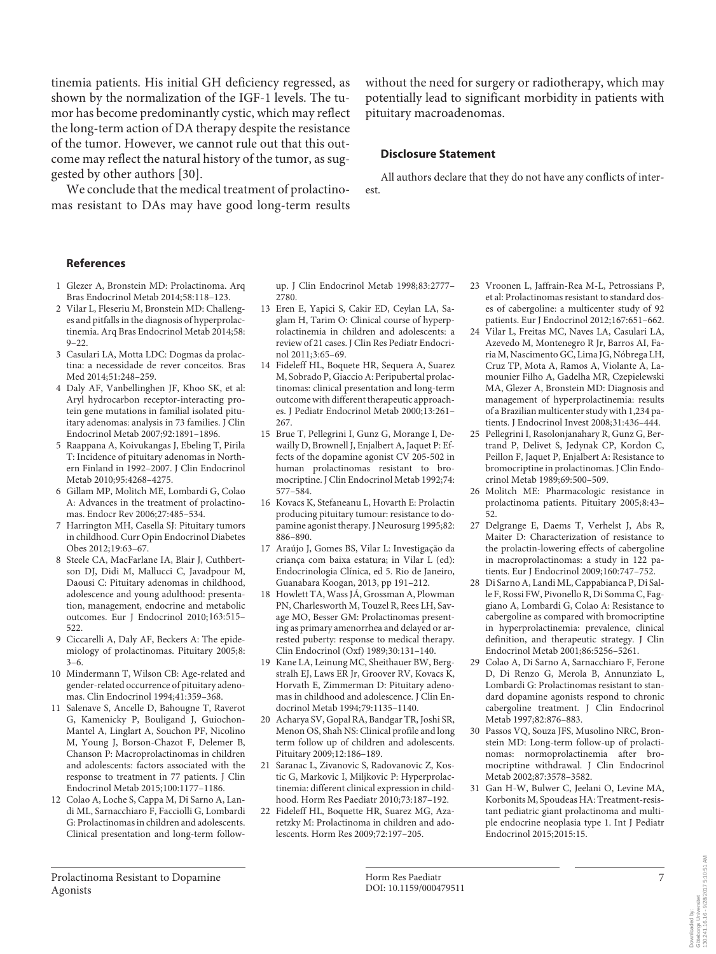tinemia patients. His initial GH deficiency regressed, as shown by the normalization of the IGF-1 levels. The tumor has become predominantly cystic, which may reflect the long-term action of DA therapy despite the resistance of the tumor. However, we cannot rule out that this outcome may reflect the natural history of the tumor, as suggested by other authors [30].

We conclude that the medical treatment of prolactinomas resistant to DAs may have good long-term results without the need for surgery or radiotherapy, which may potentially lead to significant morbidity in patients with pituitary macroadenomas.

#### **Disclosure Statement**

All authors declare that they do not have any conflicts of interest.

#### **References**

- 1 Glezer A, Bronstein MD: Prolactinoma. Arq Bras Endocrinol Metab 2014;58:118–123.
- 2 Vilar L, Fleseriu M, Bronstein MD: Challenges and pitfalls in the diagnosis of hyperprolactinemia. Arq Bras Endocrinol Metab 2014;58:  $9 - 22$
- 3 Casulari LA, Motta LDC: Dogmas da prolactina: a necessidade de rever conceitos. Bras Med 2014;51:248–259.
- 4 Daly AF, Vanbellinghen JF, Khoo SK, et al: Aryl hydrocarbon receptor-interacting protein gene mutations in familial isolated pituitary adenomas: analysis in 73 families. J Clin Endocrinol Metab 2007;92:1891–1896.
- 5 Raappana A, Koivukangas J, Ebeling T, Pirila T: Incidence of pituitary adenomas in Northern Finland in 1992–2007. J Clin Endocrinol Metab 2010;95:4268–4275.
- 6 Gillam MP, Molitch ME, Lombardi G, Colao A: Advances in the treatment of prolactinomas. Endocr Rev 2006;27:485–534.
- 7 Harrington MH, Casella SJ: Pituitary tumors in childhood. Curr Opin Endocrinol Diabetes Obes 2012;19:63–67.
- 8 Steele CA, MacFarlane IA, Blair J, Cuthbertson DJ, Didi M, Mallucci C, Javadpour M, Daousi C: Pituitary adenomas in childhood, adolescence and young adulthood: presentation, management, endocrine and metabolic outcomes. Eur J Endocrinol 2010;163:515– 522.
- 9 Ciccarelli A, Daly AF, Beckers A: The epidemiology of prolactinomas. Pituitary 2005;8:  $3-6.$
- 10 Mindermann T, Wilson CB: Age-related and gender-related occurrence of pituitary adenomas. Clin Endocrinol 1994;41:359–368.
- 11 Salenave S, Ancelle D, Bahougne T, Raverot G, Kamenicky P, Bouligand J, Guiochon-Mantel A, Linglart A, Souchon PF, Nicolino M, Young J, Borson-Chazot F, Delemer B, Chanson P: Macroprolactinomas in children and adolescents: factors associated with the response to treatment in 77 patients. J Clin Endocrinol Metab 2015;100:1177–1186.
- 12 Colao A, Loche S, Cappa M, Di Sarno A, Landi ML, Sarnacchiaro F, Facciolli G, Lombardi G: Prolactinomas in children and adolescents. Clinical presentation and long-term follow-

up. J Clin Endocrinol Metab 1998;83:2777– 2780

- 13 Eren E, Yapici S, Cakir ED, Ceylan LA, Saglam H, Tarim O: Clinical course of hyperprolactinemia in children and adolescents: a review of 21 cases. J Clin Res Pediatr Endocrinol 2011;3:65–69.
- 14 Fideleff HL, Boquete HR, Sequera A, Suarez M, Sobrado P, Giaccio A: Peripubertal prolactinomas: clinical presentation and long-term outcome with different therapeutic approaches. J Pediatr Endocrinol Metab 2000;13:261– 267.
- 15 Brue T, Pellegrini I, Gunz G, Morange I, Dewailly D, Brownell J, Enjalbert A, Jaquet P: Effects of the dopamine agonist CV 205-502 in human prolactinomas resistant to bromocriptine. J Clin Endocrinol Metab 1992;74: 577–584.
- 16 Kovacs K, Stefaneanu L, Hovarth E: Prolactin producing pituitary tumour: resistance to dopamine agonist therapy. J Neurosurg 1995;82: 886–890.
- 17 Araújo J, Gomes BS, Vilar L: Investigação da criança com baixa estatura; in Vilar L (ed): Endocrinologia Clínica, ed 5. Rio de Janeiro, Guanabara Koogan, 2013, pp 191–212.
- 18 Howlett TA, Wass JÁ, Grossman A, Plowman PN, Charlesworth M, Touzel R, Rees LH, Savage MO, Besser GM: Prolactinomas presenting as primary amenorrhea and delayed or arrested puberty: response to medical therapy. Clin Endocrinol (Oxf) 1989;30:131–140.
- 19 Kane LA, Leinung MC, Sheithauer BW, Bergstralh EJ, Laws ER Jr, Groover RV, Kovacs K, Horvath E, Zimmerman D: Pituitary adenomas in childhood and adolescence. J Clin Endocrinol Metab 1994;79:1135–1140.
- 20 Acharya SV, Gopal RA, Bandgar TR, Joshi SR, Menon OS, Shah NS: Clinical profile and long term follow up of children and adolescents. Pituitary 2009;12:186–189.
- 21 Saranac L, Zivanovic S, Radovanovic Z, Kostic G, Markovic I, Miljkovic P: Hyperprolactinemia: different clinical expression in childhood. Horm Res Paediatr 2010;73:187–192.
- 22 Fideleff HL, Boquette HR, Suarez MG, Azaretzky M: Prolactinoma in children and adolescents. Horm Res 2009;72:197–205.
- 23 Vroonen L, Jaffrain-Rea M-L, Petrossians P, et al: Prolactinomas resistant to standard doses of cabergoline: a multicenter study of 92 patients. Eur J Endocrinol 2012;167:651–662.
- 24 Vilar L, Freitas MC, Naves LA, Casulari LA, Azevedo M, Montenegro R Jr, Barros AI, Faria M, Nascimento GC, Lima JG, Nóbrega LH, Cruz TP, Mota A, Ramos A, Violante A, Lamounier Filho A, Gadelha MR, Czepielewski MA, Glezer A, Bronstein MD: Diagnosis and management of hyperprolactinemia: results of a Brazilian multicenter study with 1,234 patients. J Endocrinol Invest 2008;31:436–444.
- 25 Pellegrini I, Rasolonjanahary R, Gunz G, Bertrand P, Delivet S, Jedynak CP, Kordon C, Peillon F, Jaquet P, Enjalbert A: Resistance to bromocriptine in prolactinomas. J Clin Endocrinol Metab 1989;69:500–509.
- 26 Molitch ME: Pharmacologic resistance in prolactinoma patients. Pituitary 2005;8:43– 52.
- 27 Delgrange E, Daems T, Verhelst J, Abs R, Maiter D: Characterization of resistance to the prolactin-lowering effects of cabergoline in macroprolactinomas: a study in 122 patients. Eur J Endocrinol 2009;160:747–752.
- 28 Di Sarno A, Landi ML, Cappabianca P, Di Salle F, Rossi FW, Pivonello R, Di Somma C, Faggiano A, Lombardi G, Colao A: Resistance to cabergoline as compared with bromocriptine in hyperprolactinemia: prevalence, clinical definition, and therapeutic strategy. J Clin Endocrinol Metab 2001;86:5256–5261.
- 29 Colao A, Di Sarno A, Sarnacchiaro F, Ferone D, Di Renzo G, Merola B, Annunziato L, Lombardi G: Prolactinomas resistant to standard dopamine agonists respond to chronic cabergoline treatment. J Clin Endocrinol Metab 1997;82:876–883.
- 30 Passos VQ, Souza JFS, Musolino NRC, Bronstein MD: Long-term follow-up of prolactinomas: normoprolactinemia after bromocriptine withdrawal. J Clin Endocrinol Metab 2002;87:3578–3582.
- 31 Gan H-W, Bulwer C, Jeelani O, Levine MA, Korbonits M, Spoudeas HA: Treatment-resistant pediatric giant prolactinoma and multiple endocrine neoplasia type 1. Int J Pediatr Endocrinol 2015;2015:15.

Prolactinoma Resistant to Dopamine Agonists

Downlaaded by:<br>Göteborgs Universitet<br>130.241.16.16 - 9/28/2017 5:10:51 AM 130.241.16.16 - 9/28/2017 5:10:51 AMGöteborgs Universitet Downloaded by: